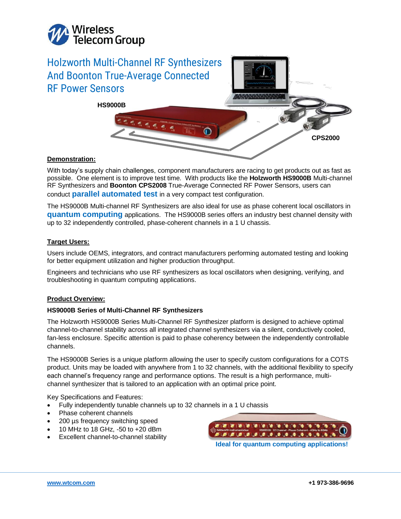

# Holzworth Multi-Channel RF Synthesizers And Boonton True-Average Connected RF Power Sensors 333333345 **HS9000B CPS2000**

# **Demonstration:**

With today's supply chain challenges, component manufacturers are racing to get products out as fast as possible. One element is to improve test time. With products like the **Holzworth HS9000B** Multi-channel RF Synthesizers and **Boonton CPS2008** True-Average Connected RF Power Sensors, users can conduct **parallel automated test** in a very compact test configuration.

The HS9000B Multi-channel RF Synthesizers are also ideal for use as phase coherent local oscillators in **quantum computing** applications. The HS9000B series offers an industry best channel density with up to 32 independently controlled, phase-coherent channels in a 1 U chassis.

# **Target Users:**

Users include OEMS, integrators, and contract manufacturers performing automated testing and looking for better equipment utilization and higher production throughput.

Engineers and technicians who use RF synthesizers as local oscillators when designing, verifying, and troubleshooting in quantum computing applications.

## **Product Overview:**

# **HS9000B Series of Multi-Channel RF Synthesizers**

The Holzworth HS9000B Series Multi-Channel RF Synthesizer platform is designed to achieve optimal channel-to-channel stability across all integrated channel synthesizers via a silent, conductively cooled, fan-less enclosure. Specific attention is paid to phase coherency between the independently controllable channels.

The HS9000B Series is a unique platform allowing the user to specify custom configurations for a COTS product. Units may be loaded with anywhere from 1 to 32 channels, with the additional flexibility to specify each channel's frequency range and performance options. The result is a high performance, multichannel synthesizer that is tailored to an application with an optimal price point.

Key Specifications and Features:

- Fully independently tunable channels up to 32 channels in a 1 U chassis
- Phase coherent channels
- 200 µs frequency switching speed
- 10 MHz to 18 GHz, -50 to +20 dBm
- Excellent channel-to-channel stability